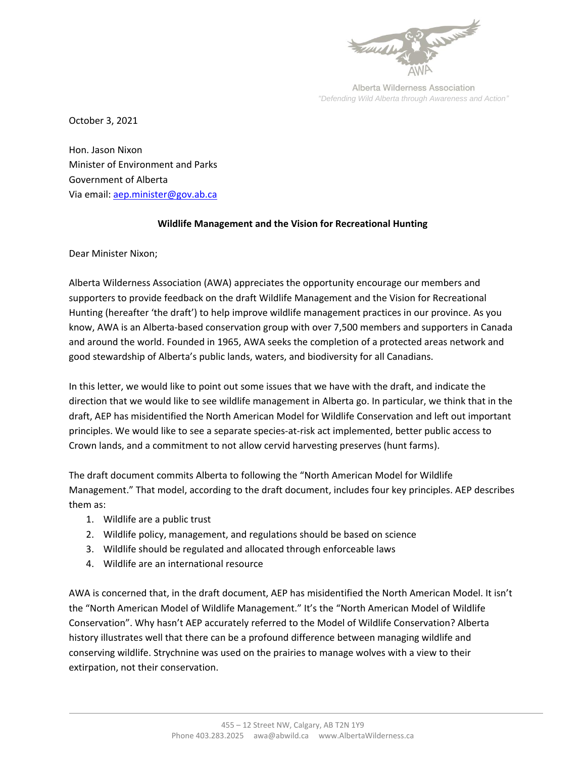

Alberta Wilderness Association *"Defending Wild Alberta through Awareness and Action"*

October 3, 2021

Hon. Jason Nixon Minister of Environment and Parks Government of Alberta Via email: [aep.minister@gov.ab.ca](mailto:aep.minister@gov.ab.ca)

## **Wildlife Management and the Vision for Recreational Hunting**

Dear Minister Nixon;

Alberta Wilderness Association (AWA) appreciates the opportunity encourage our members and supporters to provide feedback on the draft Wildlife Management and the Vision for Recreational Hunting (hereafter 'the draft') to help improve wildlife management practices in our province. As you know, AWA is an Alberta-based conservation group with over 7,500 members and supporters in Canada and around the world. Founded in 1965, AWA seeks the completion of a protected areas network and good stewardship of Alberta's public lands, waters, and biodiversity for all Canadians.

In this letter, we would like to point out some issues that we have with the draft, and indicate the direction that we would like to see wildlife management in Alberta go. In particular, we think that in the draft, AEP has misidentified the North American Model for Wildlife Conservation and left out important principles. We would like to see a separate species-at-risk act implemented, better public access to Crown lands, and a commitment to not allow cervid harvesting preserves (hunt farms).

The draft document commits Alberta to following the "North American Model for Wildlife Management." That model, according to the draft document, includes four key principles. AEP describes them as:

- 1. Wildlife are a public trust
- 2. Wildlife policy, management, and regulations should be based on science
- 3. Wildlife should be regulated and allocated through enforceable laws
- 4. Wildlife are an international resource

AWA is concerned that, in the draft document, AEP has misidentified the North American Model. It isn't the "North American Model of Wildlife Management." It's the "North American Model of Wildlife Conservation". Why hasn't AEP accurately referred to the Model of Wildlife Conservation? Alberta history illustrates well that there can be a profound difference between managing wildlife and conserving wildlife. Strychnine was used on the prairies to manage wolves with a view to their extirpation, not their conservation.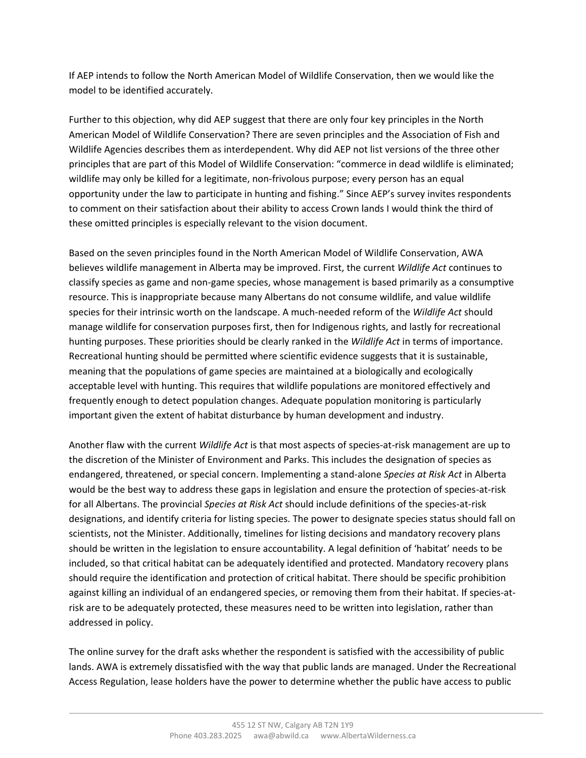If AEP intends to follow the North American Model of Wildlife Conservation, then we would like the model to be identified accurately.

Further to this objection, why did AEP suggest that there are only four key principles in the North American Model of Wildlife Conservation? There are seven principles and the Association of Fish and Wildlife Agencies describes them as interdependent. Why did AEP not list versions of the three other principles that are part of this Model of Wildlife Conservation: "commerce in dead wildlife is eliminated; wildlife may only be killed for a legitimate, non-frivolous purpose; every person has an equal opportunity under the law to participate in hunting and fishing." Since AEP's survey invites respondents to comment on their satisfaction about their ability to access Crown lands I would think the third of these omitted principles is especially relevant to the vision document.

Based on the seven principles found in the North American Model of Wildlife Conservation, AWA believes wildlife management in Alberta may be improved. First, the current *Wildlife Act* continues to classify species as game and non-game species, whose management is based primarily as a consumptive resource. This is inappropriate because many Albertans do not consume wildlife, and value wildlife species for their intrinsic worth on the landscape. A much-needed reform of the *Wildlife Act* should manage wildlife for conservation purposes first, then for Indigenous rights, and lastly for recreational hunting purposes. These priorities should be clearly ranked in the *Wildlife Act* in terms of importance. Recreational hunting should be permitted where scientific evidence suggests that it is sustainable, meaning that the populations of game species are maintained at a biologically and ecologically acceptable level with hunting. This requires that wildlife populations are monitored effectively and frequently enough to detect population changes. Adequate population monitoring is particularly important given the extent of habitat disturbance by human development and industry.

Another flaw with the current *Wildlife Act* is that most aspects of species-at-risk management are up to the discretion of the Minister of Environment and Parks. This includes the designation of species as endangered, threatened, or special concern. Implementing a stand-alone *Species at Risk Act* in Alberta would be the best way to address these gaps in legislation and ensure the protection of species-at-risk for all Albertans. The provincial *Species at Risk Act* should include definitions of the species-at-risk designations, and identify criteria for listing species. The power to designate species status should fall on scientists, not the Minister. Additionally, timelines for listing decisions and mandatory recovery plans should be written in the legislation to ensure accountability. A legal definition of 'habitat' needs to be included, so that critical habitat can be adequately identified and protected. Mandatory recovery plans should require the identification and protection of critical habitat. There should be specific prohibition against killing an individual of an endangered species, or removing them from their habitat. If species-atrisk are to be adequately protected, these measures need to be written into legislation, rather than addressed in policy.

The online survey for the draft asks whether the respondent is satisfied with the accessibility of public lands. AWA is extremely dissatisfied with the way that public lands are managed. Under the Recreational Access Regulation, lease holders have the power to determine whether the public have access to public